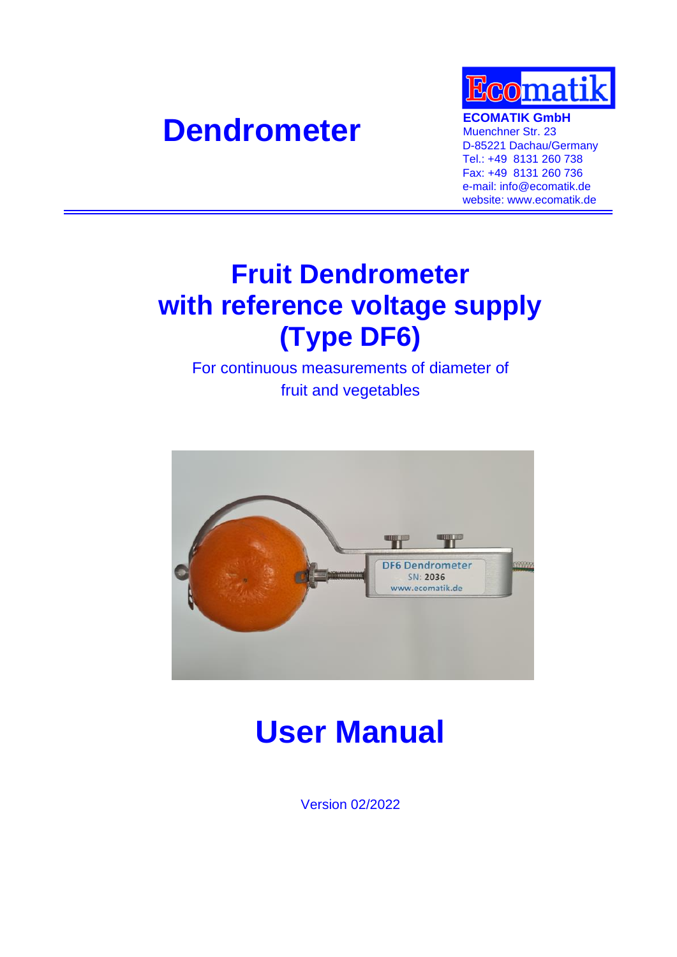# **Dendrometer ECOMATIK GmbH**<br> **Muenchner Str. 23**



Muenchner Str. 23 D-85221 Dachau/Germany Tel.: +49 8131 260 738 Fax: +49 8131 260 736 e-mail: info@ecomatik.de website: www.ecomatik.de

# **Fruit Dendrometer with reference voltage supply (Type DF6)**

For continuous measurements of diameter of fruit and vegetables



# **User Manual**

Version 02/2022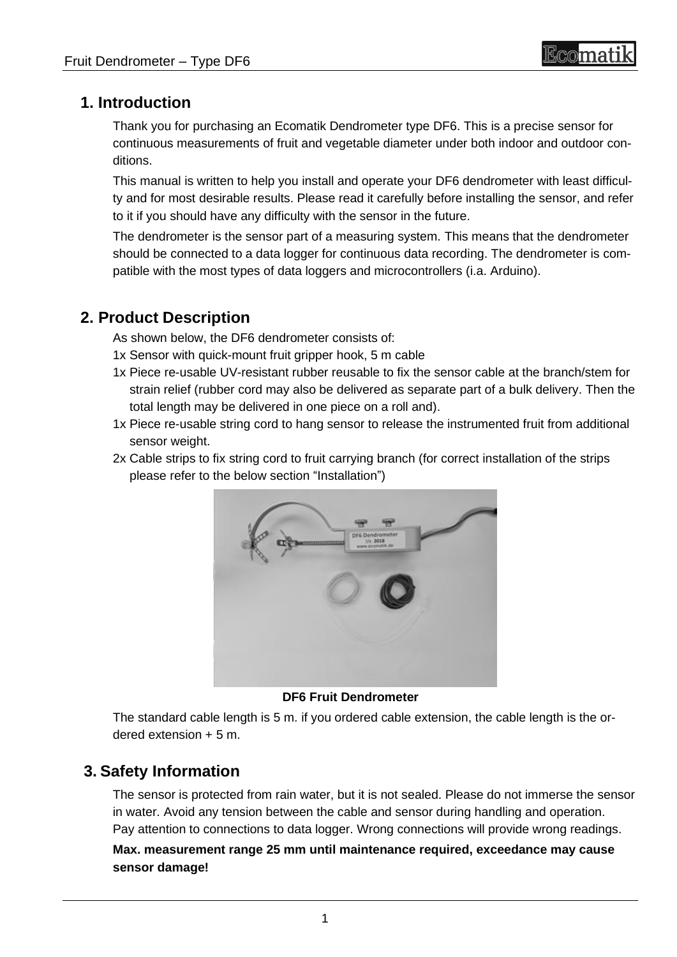## **1. Introduction**

Thank you for purchasing an Ecomatik Dendrometer type DF6. This is a precise sensor for continuous measurements of fruit and vegetable diameter under both indoor and outdoor conditions.

This manual is written to help you install and operate your DF6 dendrometer with least difficulty and for most desirable results. Please read it carefully before installing the sensor, and refer to it if you should have any difficulty with the sensor in the future.

The dendrometer is the sensor part of a measuring system. This means that the dendrometer should be connected to a data logger for continuous data recording. The dendrometer is compatible with the most types of data loggers and microcontrollers (i.a. Arduino).

### **2. Product Description**

As shown below, the DF6 dendrometer consists of:

- 1x Sensor with quick-mount fruit gripper hook, 5 m cable
- 1x Piece re-usable UV-resistant rubber reusable to fix the sensor cable at the branch/stem for strain relief (rubber cord may also be delivered as separate part of a bulk delivery. Then the total length may be delivered in one piece on a roll and).
- 1x Piece re-usable string cord to hang sensor to release the instrumented fruit from additional sensor weight.
- 2x Cable strips to fix string cord to fruit carrying branch (for correct installation of the strips please refer to the below section "Installation")



**DF6 Fruit Dendrometer**

The standard cable length is 5 m. if you ordered cable extension, the cable length is the ordered extension + 5 m.

# **3. Safety Information**

The sensor is protected from rain water, but it is not sealed. Please do not immerse the sensor in water. Avoid any tension between the cable and sensor during handling and operation. Pay attention to connections to data logger. Wrong connections will provide wrong readings.

**Max. measurement range 25 mm until maintenance required, exceedance may cause sensor damage!**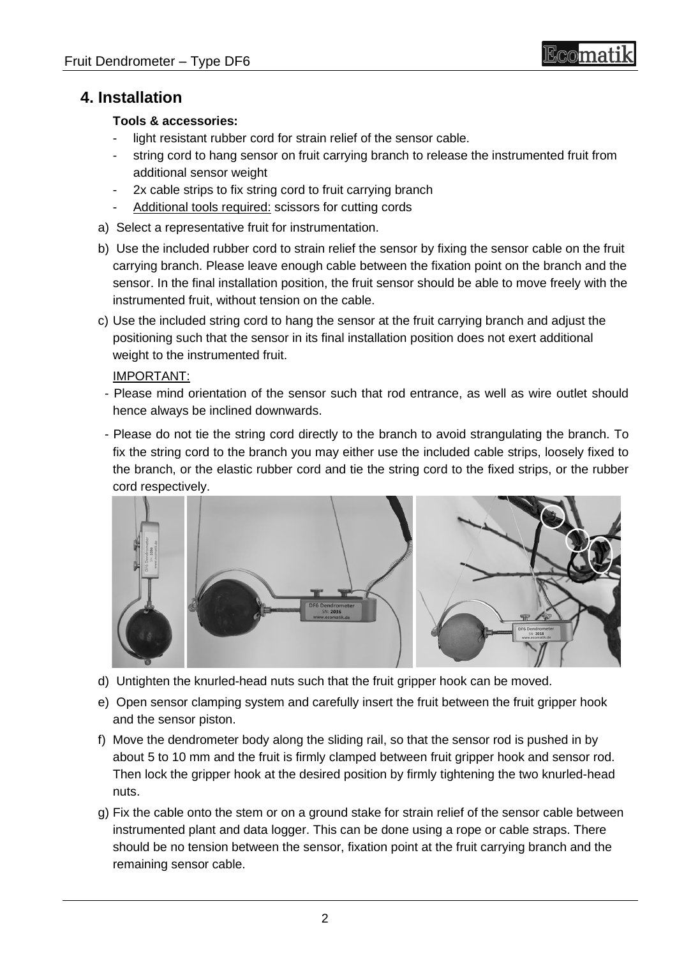# Bcomati

### **4. Installation**

#### **Tools & accessories:**

- light resistant rubber cord for strain relief of the sensor cable.
- string cord to hang sensor on fruit carrying branch to release the instrumented fruit from additional sensor weight
- 2x cable strips to fix string cord to fruit carrying branch
- Additional tools required: scissors for cutting cords
- a) Select a representative fruit for instrumentation.
- b) Use the included rubber cord to strain relief the sensor by fixing the sensor cable on the fruit carrying branch. Please leave enough cable between the fixation point on the branch and the sensor. In the final installation position, the fruit sensor should be able to move freely with the instrumented fruit, without tension on the cable.
- c) Use the included string cord to hang the sensor at the fruit carrying branch and adjust the positioning such that the sensor in its final installation position does not exert additional weight to the instrumented fruit.

#### IMPORTANT:

- Please mind orientation of the sensor such that rod entrance, as well as wire outlet should hence always be inclined downwards.
- Please do not tie the string cord directly to the branch to avoid strangulating the branch. To fix the string cord to the branch you may either use the included cable strips, loosely fixed to the branch, or the elastic rubber cord and tie the string cord to the fixed strips, or the rubber cord respectively.



- d) Untighten the knurled-head nuts such that the fruit gripper hook can be moved.
- e) Open sensor clamping system and carefully insert the fruit between the fruit gripper hook and the sensor piston.
- f) Move the dendrometer body along the sliding rail, so that the sensor rod is pushed in by about 5 to 10 mm and the fruit is firmly clamped between fruit gripper hook and sensor rod. Then lock the gripper hook at the desired position by firmly tightening the two knurled-head nuts.
- g) Fix the cable onto the stem or on a ground stake for strain relief of the sensor cable between instrumented plant and data logger. This can be done using a rope or cable straps. There should be no tension between the sensor, fixation point at the fruit carrying branch and the remaining sensor cable.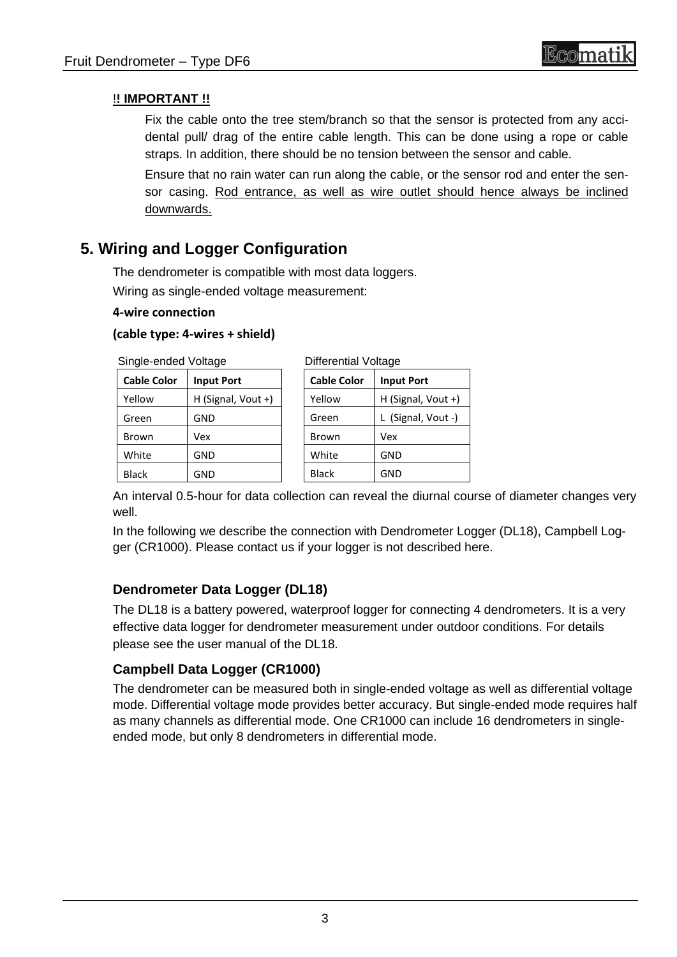#### !**! IMPORTANT !!**

Fix the cable onto the tree stem/branch so that the sensor is protected from any accidental pull/ drag of the entire cable length. This can be done using a rope or cable straps. In addition, there should be no tension between the sensor and cable.

Ensure that no rain water can run along the cable, or the sensor rod and enter the sensor casing. Rod entrance, as well as wire outlet should hence always be inclined downwards.

## **5. Wiring and Logger Configuration**

The dendrometer is compatible with most data loggers. Wiring as single-ended voltage measurement:

#### **4-wire connection**

#### **(cable type: 4-wires + shield)**

Single-ended Voltage

| migic-criucu vullayc |                    | <b>DIIIGIGHUAI VUILAYG</b> |                    |
|----------------------|--------------------|----------------------------|--------------------|
| <b>Cable Color</b>   | <b>Input Port</b>  | <b>Cable Color</b>         | <b>Input Port</b>  |
| Yellow               | H (Signal, Vout +) | Yellow                     | H (Signal, Vout +) |
| Green                | GND                | Green                      | L (Signal, Vout -) |
| <b>Brown</b>         | Vex                | Brown                      | Vex                |
| White                | <b>GND</b>         | White                      | <b>GND</b>         |
| <b>Black</b>         | <b>GND</b>         | <b>Black</b>               | <b>GND</b>         |
|                      |                    |                            |                    |

An interval 0.5-hour for data collection can reveal the diurnal course of diameter changes very well.

In the following we describe the connection with Dendrometer Logger (DL18), Campbell Logger (CR1000). Please contact us if your logger is not described here.

#### **Dendrometer Data Logger (DL18)**

The DL18 is a battery powered, waterproof logger for connecting 4 dendrometers. It is a very effective data logger for dendrometer measurement under outdoor conditions. For details please see the user manual of the DL18.

#### **Campbell Data Logger (CR1000)**

The dendrometer can be measured both in single-ended voltage as well as differential voltage mode. Differential voltage mode provides better accuracy. But single-ended mode requires half as many channels as differential mode. One CR1000 can include 16 dendrometers in singleended mode, but only 8 dendrometers in differential mode.

Differential Valtage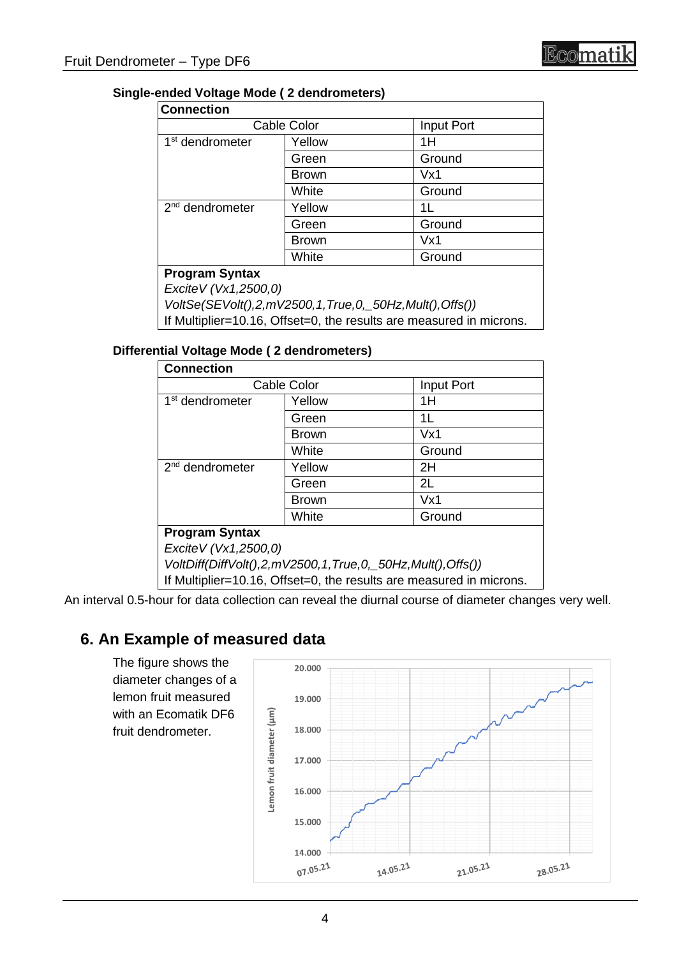#### **Single-ended Voltage Mode ( 2 dendrometers)**

| <b>Connection</b>           |              |            |
|-----------------------------|--------------|------------|
| <b>Cable Color</b>          |              | Input Port |
| 1 <sup>st</sup> dendrometer | Yellow       | 1H         |
|                             | Green        | Ground     |
|                             | <b>Brown</b> | Vx1        |
|                             | White        | Ground     |
| 2 <sup>nd</sup> dendrometer | Yellow       | 1L         |
|                             | Green        | Ground     |
|                             | <b>Brown</b> | Vx1        |
|                             | White        | Ground     |
| <b>Program Syntax</b>       |              |            |
| Excite V (Vx1,2500,0)       |              |            |

*VoltSe(SEVolt(),2,mV2500,1,True,0,\_50Hz,Mult(),Offs())* If Multiplier=10.16, Offset=0, the results are measured in microns.

#### **Differential Voltage Mode ( 2 dendrometers)**

| <b>Connection</b>           |                                                            |            |  |  |
|-----------------------------|------------------------------------------------------------|------------|--|--|
| <b>Cable Color</b>          |                                                            | Input Port |  |  |
| 1 <sup>st</sup> dendrometer | Yellow                                                     | 1H         |  |  |
|                             | Green                                                      | 1L         |  |  |
|                             | <b>Brown</b>                                               | Vx1        |  |  |
|                             | White                                                      | Ground     |  |  |
| $2nd$ dendrometer           | Yellow                                                     | 2H         |  |  |
|                             | Green                                                      | 2L         |  |  |
|                             | <b>Brown</b>                                               | Vx1        |  |  |
|                             | White                                                      | Ground     |  |  |
| <b>Program Syntax</b>       |                                                            |            |  |  |
| Excite V (Vx1,2500,0)       |                                                            |            |  |  |
|                             | VoltDiff(DiffVolt(),2,mV2500,1,True,0,_50Hz,Mult(),Offs()) |            |  |  |
|                             |                                                            |            |  |  |

If Multiplier=10.16, Offset=0, the results are measured in microns.

An interval 0.5-hour for data collection can reveal the diurnal course of diameter changes very well.

### **6. An Example of measured data**

The figure shows the diameter changes of a lemon fruit measured with an Ecomatik DF6 fruit dendrometer.